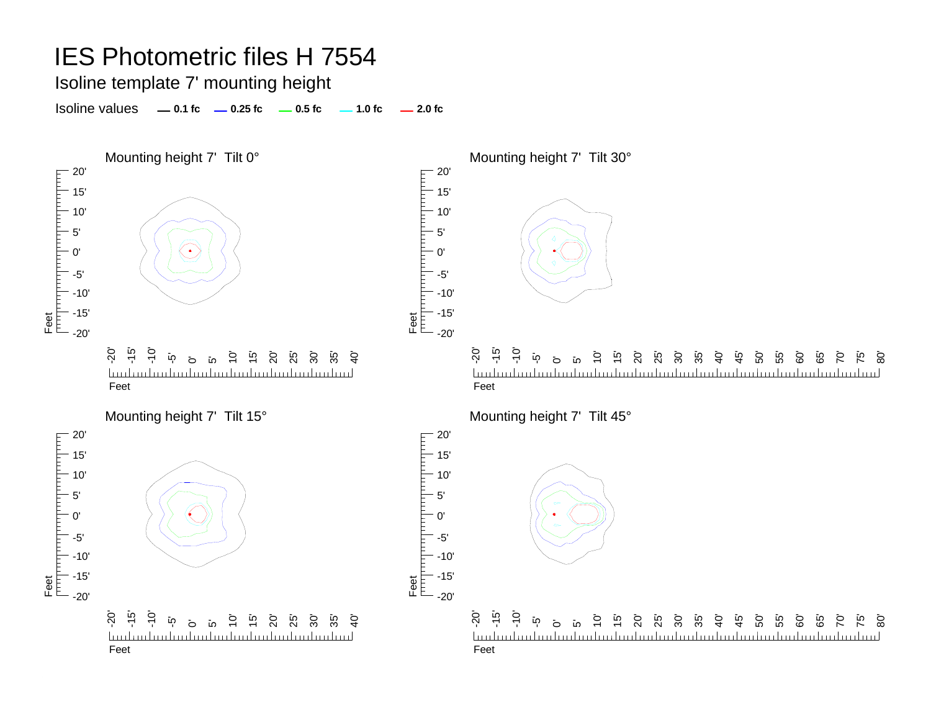Isoline template 7' mounting height

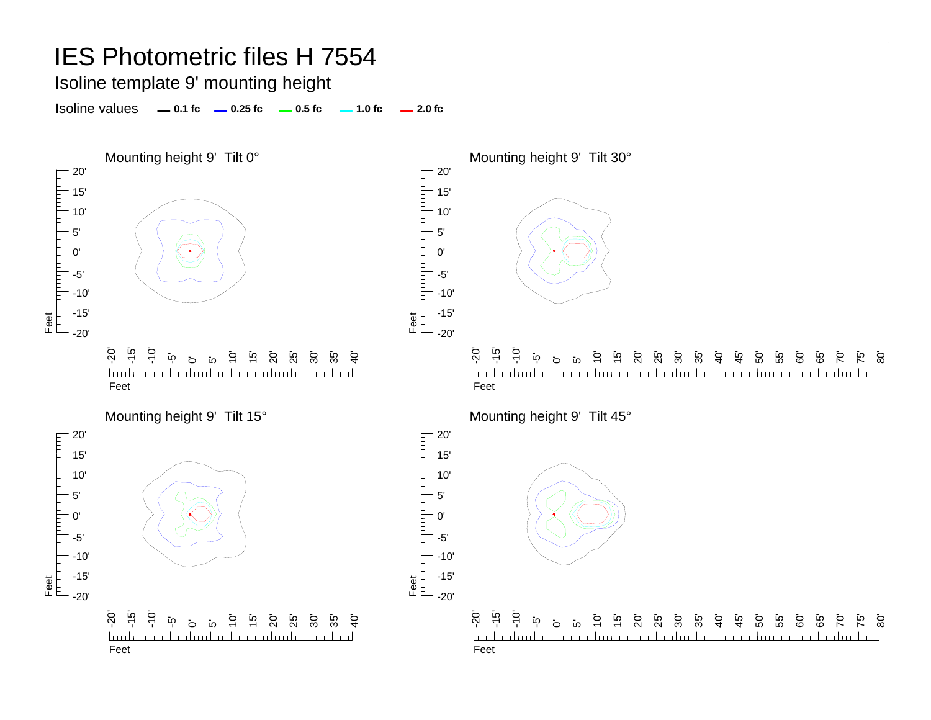Isoline template 9' mounting height

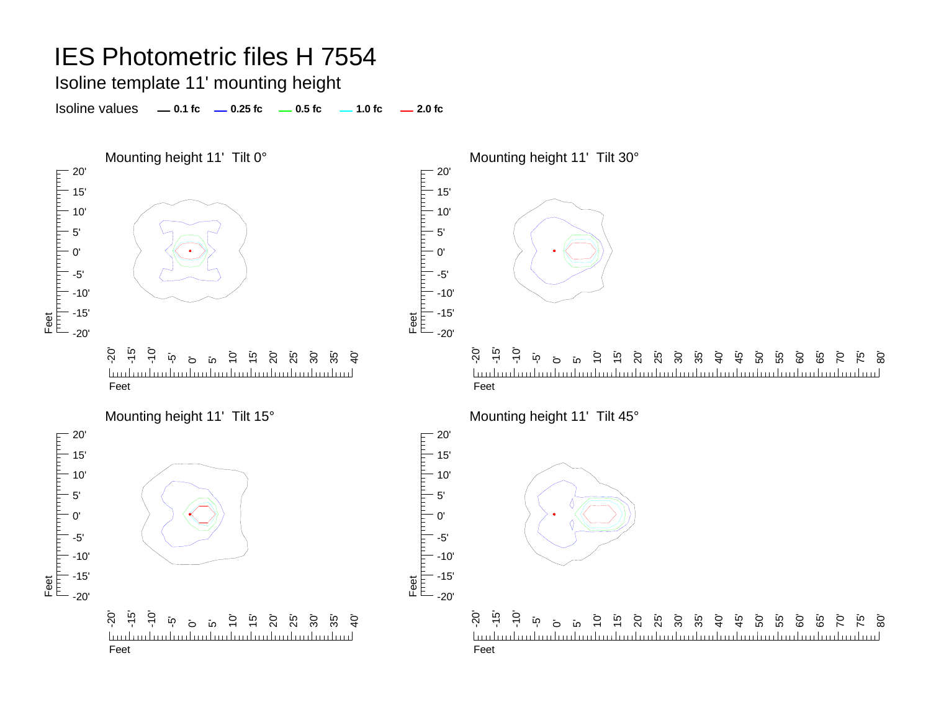Isoline template 11' mounting height

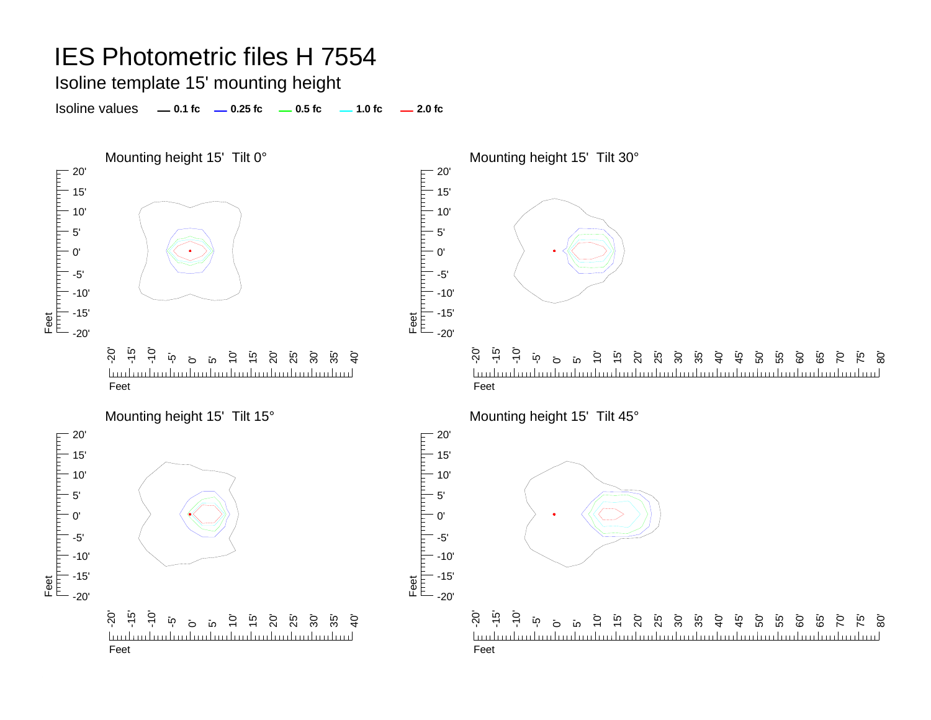Isoline template 15' mounting height

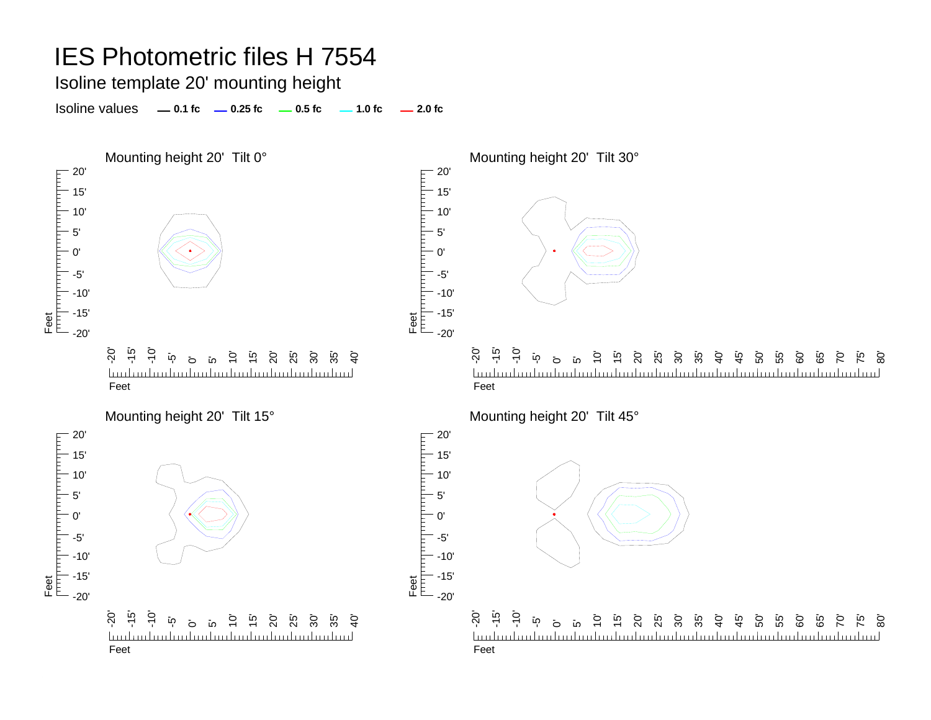Isoline template 20' mounting height

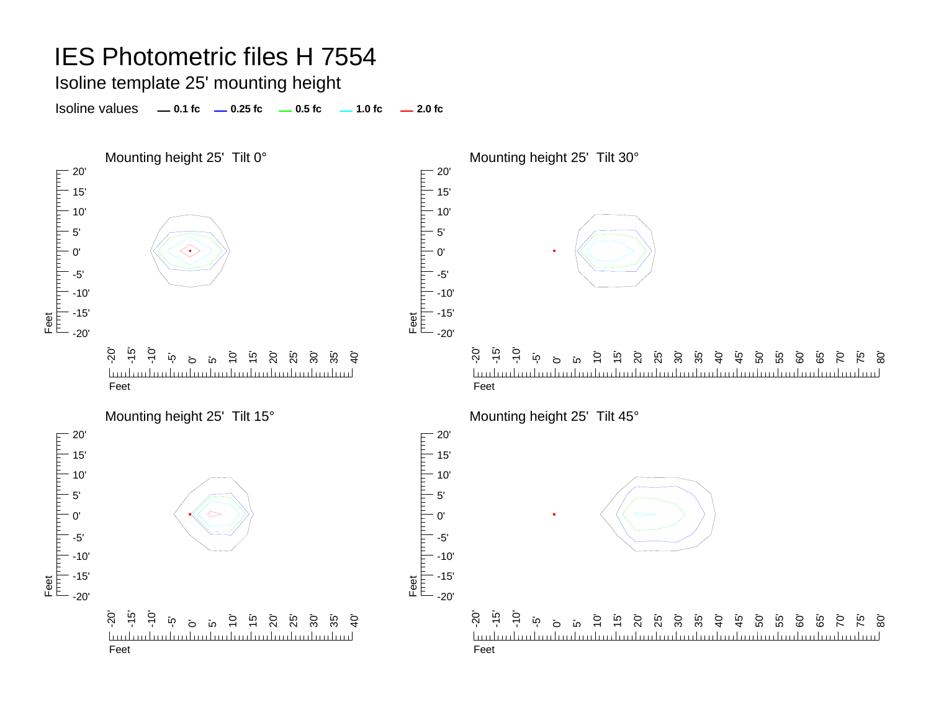Isoline template 25' mounting height